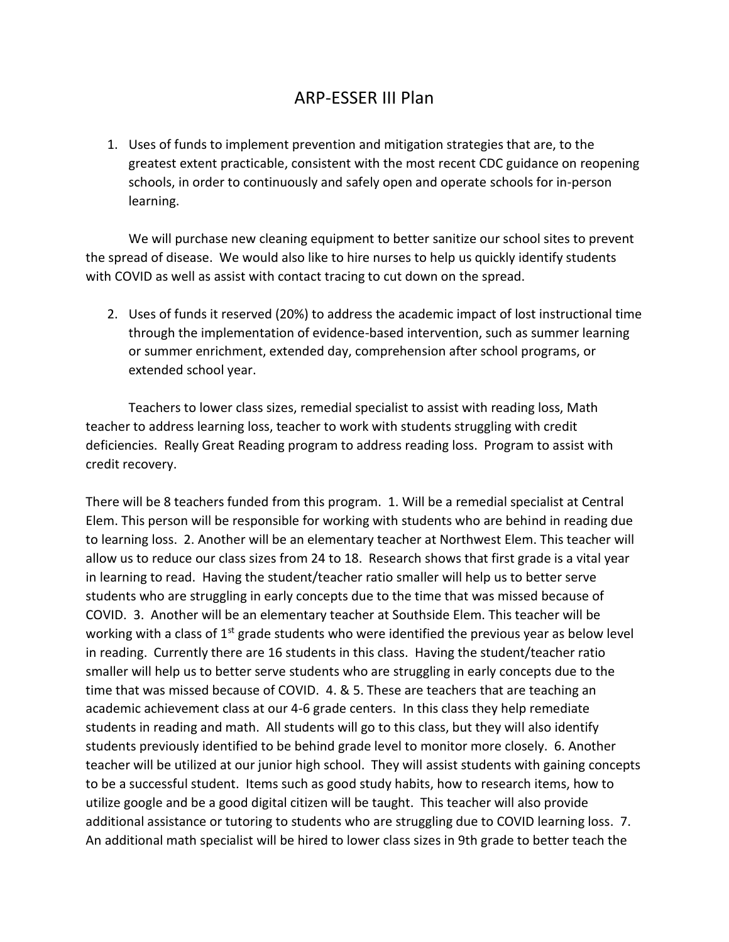## ARP-ESSER III Plan

1. Uses of funds to implement prevention and mitigation strategies that are, to the greatest extent practicable, consistent with the most recent CDC guidance on reopening schools, in order to continuously and safely open and operate schools for in-person learning.

We will purchase new cleaning equipment to better sanitize our school sites to prevent the spread of disease. We would also like to hire nurses to help us quickly identify students with COVID as well as assist with contact tracing to cut down on the spread.

2. Uses of funds it reserved (20%) to address the academic impact of lost instructional time through the implementation of evidence-based intervention, such as summer learning or summer enrichment, extended day, comprehension after school programs, or extended school year.

Teachers to lower class sizes, remedial specialist to assist with reading loss, Math teacher to address learning loss, teacher to work with students struggling with credit deficiencies. Really Great Reading program to address reading loss. Program to assist with credit recovery.

There will be 8 teachers funded from this program. 1. Will be a remedial specialist at Central Elem. This person will be responsible for working with students who are behind in reading due to learning loss. 2. Another will be an elementary teacher at Northwest Elem. This teacher will allow us to reduce our class sizes from 24 to 18. Research shows that first grade is a vital year in learning to read. Having the student/teacher ratio smaller will help us to better serve students who are struggling in early concepts due to the time that was missed because of COVID. 3. Another will be an elementary teacher at Southside Elem. This teacher will be working with a class of  $1^{st}$  grade students who were identified the previous year as below level in reading. Currently there are 16 students in this class. Having the student/teacher ratio smaller will help us to better serve students who are struggling in early concepts due to the time that was missed because of COVID. 4. & 5. These are teachers that are teaching an academic achievement class at our 4-6 grade centers. In this class they help remediate students in reading and math. All students will go to this class, but they will also identify students previously identified to be behind grade level to monitor more closely. 6. Another teacher will be utilized at our junior high school. They will assist students with gaining concepts to be a successful student. Items such as good study habits, how to research items, how to utilize google and be a good digital citizen will be taught. This teacher will also provide additional assistance or tutoring to students who are struggling due to COVID learning loss. 7. An additional math specialist will be hired to lower class sizes in 9th grade to better teach the